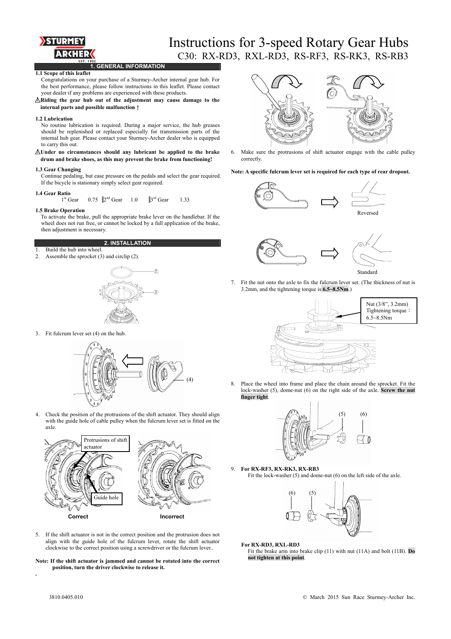

## Instructions for 3-speed Rotary Gear Hubs C30: RX-RD3, RXL-RD3, RS-RF3, RS-RK3, RS-RB3

**1. GENERAL INFORMATION** 

## **1.1 Scope of this leaflet**

Congratulations on your purchase of a Sturmey-Archer internal gear hub. For the best performance, please follow instructions in this leaflet. Please contact your dealer if any problems are experienced with these products.

△**! Riding the gear hub out of the adjustment may cause damage to the internal parts and possible malfunction**!

### **1.2 Lubrication**

No routine lubrication is required. During a major service, the hub greases should be replenished or replaced especially for transmission parts of the internal hub gear. Please contact your Sturmey-Archer dealer who is equipped to carry this out.

## △**! Under no circumstances should any lubricant be applied to the brake drum and brake shoes, as this may prevent the brake from functioning!**

### **1.3 Gear Changing**

Continue pedaling, but ease pressure on the pedals and select the gear required. If the bicycle is stationary simply select gear required.

### **1.4 Gear Ratio**

 $1^{\text{st}}$  Gear 0.75  $2^{\text{nd}}$  Gear 1.0  $3^{\text{rd}}$  Gear 1.33

## **1.5 Brake Operation**

To activate the brake, pull the appropriate brake lever on the handlebar. If the wheel does not run free, or cannot be locked by a full application of the brake, then adjustment is necessary.

## **2. INSTALLATION**

1. Build the hub into wheel.





3. Fit fulcrum lever set (4) on the hub.



4. Check the position of the protrusions of the shift actuator. They should align with the guide hole of cable pulley when the fulcrum lever set is fitted on the axle.



5. If the shift actuator is not in the correct position and the protrusion does not align with the guide hole of the fulcrum lever, rotate the shift actuator clockwise to the correct position using a screwdriver or the fulcrum lever..

**Note: If the shift actuator is jammed and cannot be rotated into the correct position, turn the driver clockwise to release it.** 



 6. Make sure the protrusions of shift actuator engage with the cable pulley correctly.

## **Note: A specific fulcrum lever set is required for each type of rear dropout.**





- Standard
- 7. Fit the nut onto the axle to fix the fulcrum lever set. (The thickness of nut is 3.2mm, and the tightening torque is **6.5~8.5Nm**.)



8. Place the wheel into frame and place the chain around the sprocket. Fit the lock-washer (5), dome-nut (6) on the right side of the axle. **Screw the nut finger tight**.



9. **For RX-RF3, RX-RK3, RX-RB3**  Fit the lock-washer  $(5)$  and dome-nut  $(6)$  on the left side of the axle.



**For RX-RD3, RXL-RD3**  Fit the brake arm into brake clip (11) with nut (11A) and bolt (11B). **Do not tighten at this point**.

**.**